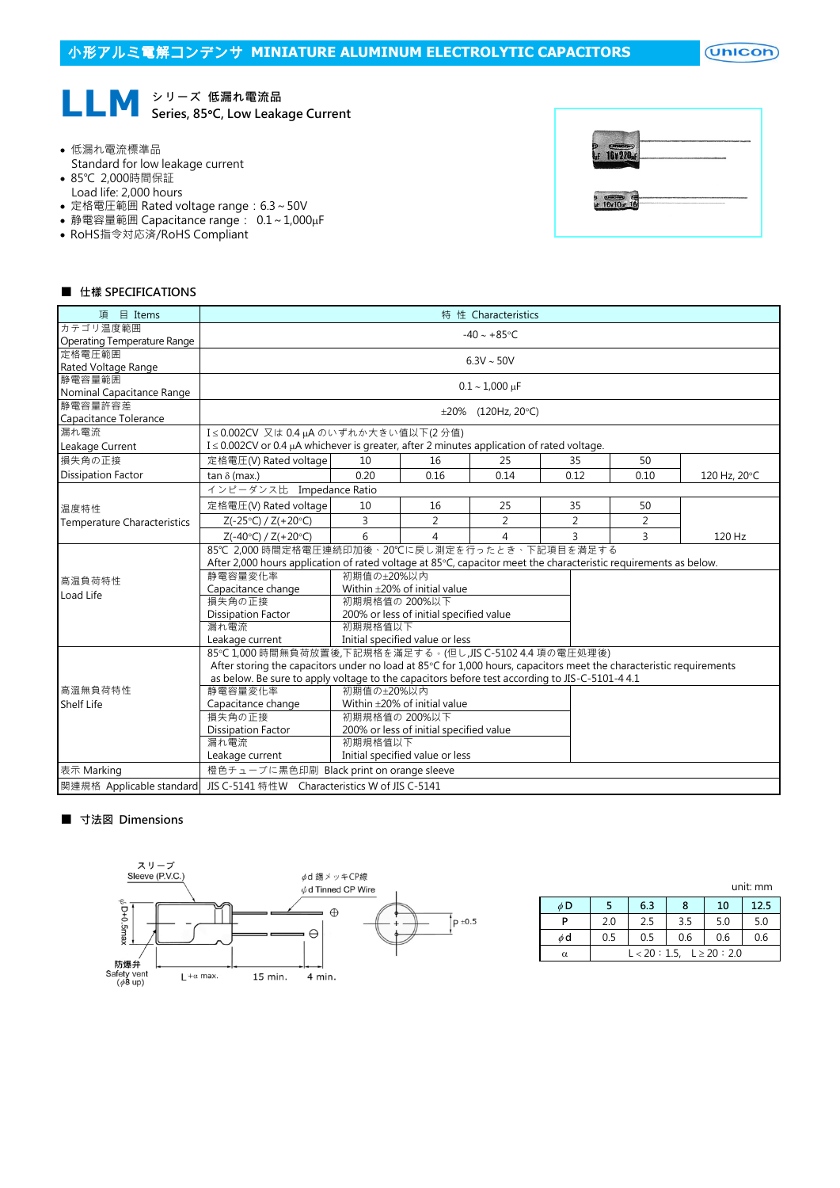$($ Unicon $)$ 



- 低漏れ電流標準品
- Standard for low leakage current
- 85℃ 2,000時間保証
- Load life: 2,000 hours
- 定格電圧範囲 Rated voltage range:6.3~50V
- 静電容量範囲 Capacitance range: 0.1∼1,000µF
- RoHS指令対応済/RoHS Compliant



## ■ 仕樣 SPECIFICATIONS

| 項 目 Items                          | 特 性 Characteristics                                                                                                 |                                   |                |                          |                |                |              |  |  |  |
|------------------------------------|---------------------------------------------------------------------------------------------------------------------|-----------------------------------|----------------|--------------------------|----------------|----------------|--------------|--|--|--|
| カテゴリ温度範囲                           | $-40 \sim +85$ °C                                                                                                   |                                   |                |                          |                |                |              |  |  |  |
| Operating Temperature Range        |                                                                                                                     |                                   |                |                          |                |                |              |  |  |  |
| 定格雷圧範囲                             | $6.3V \sim 50V$                                                                                                     |                                   |                |                          |                |                |              |  |  |  |
| Rated Voltage Range                |                                                                                                                     |                                   |                |                          |                |                |              |  |  |  |
| 静電容量範囲                             |                                                                                                                     |                                   |                | $0.1 - 1,000 \text{ µF}$ |                |                |              |  |  |  |
| Nominal Capacitance Range          |                                                                                                                     |                                   |                |                          |                |                |              |  |  |  |
| 静電容量許容差                            |                                                                                                                     | $\pm 20\%$ (120Hz, 20°C)          |                |                          |                |                |              |  |  |  |
| Capacitance Tolerance              |                                                                                                                     |                                   |                |                          |                |                |              |  |  |  |
| 漏れ電流                               |                                                                                                                     | I≤0.002CV 又は0.4µAのいずれか大きい値以下(2分値) |                |                          |                |                |              |  |  |  |
| Leakage Current                    | $I \le 0.002$ CV or 0.4 µA whichever is greater, after 2 minutes application of rated voltage.                      |                                   |                |                          |                |                |              |  |  |  |
| 損失角の正接                             | 定格電圧(V) Rated voltage                                                                                               | 10                                | 16             | 25                       | 35             | 50             |              |  |  |  |
| <b>Dissipation Factor</b>          | tan $\delta$ (max.)                                                                                                 | 0.20                              | 0.16           | 0.14                     | 0.12           | 0.10           | 120 Hz, 20°C |  |  |  |
|                                    | インピーダンス比 Impedance Ratio                                                                                            |                                   |                |                          |                |                |              |  |  |  |
| 温度特性                               | 定格電圧(V) Rated voltage                                                                                               | 10                                | 16             | 25                       | 35             | 50             |              |  |  |  |
| <b>Temperature Characteristics</b> | $Z(-25°C) / Z(+20°C)$                                                                                               | 3                                 | $\overline{2}$ | $\overline{2}$           | $\overline{2}$ | $\overline{2}$ |              |  |  |  |
|                                    | $Z(-40^{\circ}C) / Z(+20^{\circ}C)$                                                                                 | 6                                 | 4              | $\overline{4}$           | 3              | $\overline{3}$ | 120 Hz       |  |  |  |
|                                    | 85℃ 2,000 時間定格電圧連続印加後、20℃に戻し測定を行ったとき、下記項目を満足する                                                                      |                                   |                |                          |                |                |              |  |  |  |
|                                    | After 2,000 hours application of rated voltage at 85°C, capacitor meet the characteristic requirements as below.    |                                   |                |                          |                |                |              |  |  |  |
| 高温負荷特性                             | 静電容量変化率<br>初期值の±20%以内                                                                                               |                                   |                |                          |                |                |              |  |  |  |
| Load Life                          | Within ±20% of initial value<br>Capacitance change                                                                  |                                   |                |                          |                |                |              |  |  |  |
|                                    | 損失角の正接<br>初期規格值の 200%以下                                                                                             |                                   |                |                          |                |                |              |  |  |  |
|                                    | 200% or less of initial specified value<br><b>Dissipation Factor</b>                                                |                                   |                |                          |                |                |              |  |  |  |
|                                    | 初期規格值以下<br>漏れ電流                                                                                                     |                                   |                |                          |                |                |              |  |  |  |
|                                    | Initial specified value or less<br>Leakage current                                                                  |                                   |                |                          |                |                |              |  |  |  |
|                                    | 85℃ 1,000 時間無負荷放置後,下記規格を滿足する。(但し,JIS C-5102 4.4 項の電圧処理後)                                                            |                                   |                |                          |                |                |              |  |  |  |
|                                    | After storing the capacitors under no load at 85°C for 1,000 hours, capacitors meet the characteristic requirements |                                   |                |                          |                |                |              |  |  |  |
|                                    | as below. Be sure to apply voltage to the capacitors before test according to JIS-C-5101-4 4.1                      |                                   |                |                          |                |                |              |  |  |  |
| 高溫無負荷特性                            | 初期値の+20%以内<br>静電容量変化率                                                                                               |                                   |                |                          |                |                |              |  |  |  |
| <b>Shelf Life</b>                  | Within ±20% of initial value<br>Capacitance change                                                                  |                                   |                |                          |                |                |              |  |  |  |
|                                    | 損失角の正接<br>初期規格值の 200%以下                                                                                             |                                   |                |                          |                |                |              |  |  |  |
|                                    | 200% or less of initial specified value<br><b>Dissipation Factor</b>                                                |                                   |                |                          |                |                |              |  |  |  |
|                                    | 初期規格值以下<br>漏れ電流                                                                                                     |                                   |                |                          |                |                |              |  |  |  |
|                                    | Initial specified value or less<br>Leakage current                                                                  |                                   |                |                          |                |                |              |  |  |  |
| 表示 Marking                         | 橙色チューブに黒色印刷 Black print on orange sleeve                                                                            |                                   |                |                          |                |                |              |  |  |  |
| 関連規格 Applicable standard           | JIS C-5141 特性W Characteristics W of JIS C-5141                                                                      |                                   |                |                          |                |                |              |  |  |  |

#### ■ 寸法図 Dimensions



|          | unit: mm                       |     |     |     |      |  |  |  |
|----------|--------------------------------|-----|-----|-----|------|--|--|--|
| $\phi$ D |                                | 6.3 | 8   | 10  | 12.5 |  |  |  |
| P        | 2.0                            | 2.5 | 3.5 | 5.0 | 5.0  |  |  |  |
| φd       | 0.5                            | 0.5 | 0.6 | 0.6 | 0.6  |  |  |  |
| α        | $L < 20 : 1.5, L \ge 20 : 2.0$ |     |     |     |      |  |  |  |